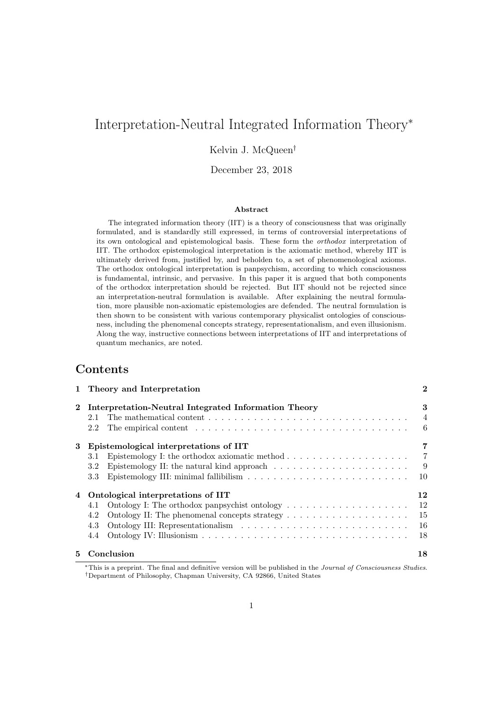# Interpretation-Neutral Integrated Information Theory<sup>∗</sup>

### Kelvin J. McQueen†

### December 23, 2018

#### Abstract

The integrated information theory (IIT) is a theory of consciousness that was originally formulated, and is standardly still expressed, in terms of controversial interpretations of its own ontological and epistemological basis. These form the orthodox interpretation of IIT. The orthodox epistemological interpretation is the axiomatic method, whereby IIT is ultimately derived from, justified by, and beholden to, a set of phenomenological axioms. The orthodox ontological interpretation is panpsychism, according to which consciousness is fundamental, intrinsic, and pervasive. In this paper it is argued that both components of the orthodox interpretation should be rejected. But IIT should not be rejected since an interpretation-neutral formulation is available. After explaining the neutral formulation, more plausible non-axiomatic epistemologies are defended. The neutral formulation is then shown to be consistent with various contemporary physicalist ontologies of consciousness, including the phenomenal concepts strategy, representationalism, and even illusionism. Along the way, instructive connections between interpretations of IIT and interpretations of quantum mechanics, are noted.

# Contents

|    | 1 Internet and Interpretation                                                                                                                                                                                                        | ◢              |
|----|--------------------------------------------------------------------------------------------------------------------------------------------------------------------------------------------------------------------------------------|----------------|
|    | 2 Interpretation-Neutral Integrated Information Theory                                                                                                                                                                               | 3              |
|    | 2.1                                                                                                                                                                                                                                  | $\overline{4}$ |
|    | The empirical content entering in the set of the content of the content of the content of the content of the content of the content of the content of the content of the content of the content of the content of the content<br>2.2 | 6              |
| 3  | Epistemological interpretations of IIT                                                                                                                                                                                               | 7              |
|    | Epistemology I: the orthodox axiomatic method $\ldots \ldots \ldots \ldots \ldots \ldots$<br>3.1                                                                                                                                     | $\overline{7}$ |
|    | Epistemology II: the natural kind approach $\dots \dots \dots \dots \dots \dots \dots$<br>3.2                                                                                                                                        | - 9            |
|    | $3.3\,$                                                                                                                                                                                                                              | 10             |
|    | 4 Ontological interpretations of IIT                                                                                                                                                                                                 | 12             |
|    | 4.1                                                                                                                                                                                                                                  | 12             |
|    | 4.2                                                                                                                                                                                                                                  | 15             |
|    | 4.3                                                                                                                                                                                                                                  | <b>16</b>      |
|    | 4.4                                                                                                                                                                                                                                  | 18             |
| 5. | Conclusion                                                                                                                                                                                                                           | 18             |
|    |                                                                                                                                                                                                                                      |                |

1 Theory and Interpretation 2

<sup>∗</sup>This is a preprint. The final and definitive version will be published in the Journal of Consciousness Studies. †Department of Philosophy, Chapman University, CA 92866, United States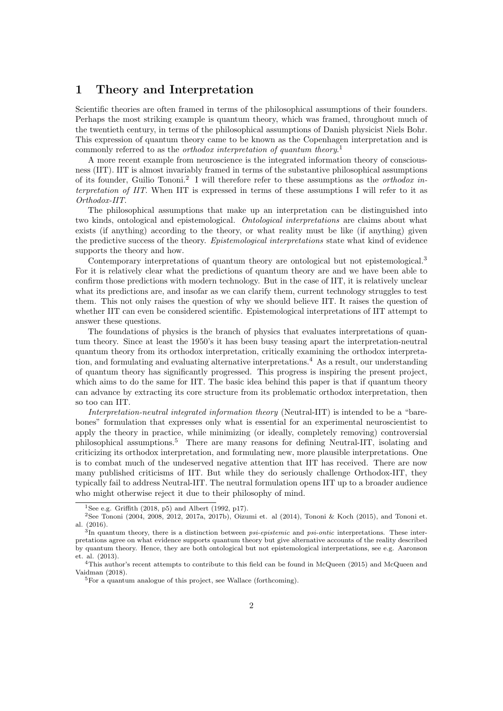## 1 Theory and Interpretation

Scientific theories are often framed in terms of the philosophical assumptions of their founders. Perhaps the most striking example is quantum theory, which was framed, throughout much of the twentieth century, in terms of the philosophical assumptions of Danish physicist Niels Bohr. This expression of quantum theory came to be known as the Copenhagen interpretation and is commonly referred to as the *orthodox interpretation of quantum theory*.<sup>1</sup>

A more recent example from neuroscience is the integrated information theory of consciousness (IIT). IIT is almost invariably framed in terms of the substantive philosophical assumptions of its founder, Guilio Tononi.<sup>2</sup> I will therefore refer to these assumptions as the *orthodox in*terpretation of IIT. When IIT is expressed in terms of these assumptions I will refer to it as Orthodox-IIT.

The philosophical assumptions that make up an interpretation can be distinguished into two kinds, ontological and epistemological. Ontological interpretations are claims about what exists (if anything) according to the theory, or what reality must be like (if anything) given the predictive success of the theory. Epistemological interpretations state what kind of evidence supports the theory and how.

Contemporary interpretations of quantum theory are ontological but not epistemological.<sup>3</sup> For it is relatively clear what the predictions of quantum theory are and we have been able to confirm those predictions with modern technology. But in the case of IIT, it is relatively unclear what its predictions are, and insofar as we can clarify them, current technology struggles to test them. This not only raises the question of why we should believe IIT. It raises the question of whether IIT can even be considered scientific. Epistemological interpretations of IIT attempt to answer these questions.

The foundations of physics is the branch of physics that evaluates interpretations of quantum theory. Since at least the 1950's it has been busy teasing apart the interpretation-neutral quantum theory from its orthodox interpretation, critically examining the orthodox interpretation, and formulating and evaluating alternative interpretations.<sup>4</sup> As a result, our understanding of quantum theory has significantly progressed. This progress is inspiring the present project, which aims to do the same for IIT. The basic idea behind this paper is that if quantum theory can advance by extracting its core structure from its problematic orthodox interpretation, then so too can IIT.

Interpretation-neutral integrated information theory (Neutral-IIT) is intended to be a "barebones" formulation that expresses only what is essential for an experimental neuroscientist to apply the theory in practice, while minimizing (or ideally, completely removing) controversial philosophical assumptions.<sup>5</sup> There are many reasons for defining Neutral-IIT, isolating and criticizing its orthodox interpretation, and formulating new, more plausible interpretations. One is to combat much of the undeserved negative attention that IIT has received. There are now many published criticisms of IIT. But while they do seriously challenge Orthodox-IIT, they typically fail to address Neutral-IIT. The neutral formulation opens IIT up to a broader audience who might otherwise reject it due to their philosophy of mind.

<sup>&</sup>lt;sup>1</sup>See e.g. Griffith (2018, p5) and Albert (1992, p17).

<sup>&</sup>lt;sup>2</sup>See Tononi (2004, 2008, 2012, 2017a, 2017b), Oizumi et. al (2014), Tononi & Koch (2015), and Tononi et. al. (2016).

<sup>&</sup>lt;sup>3</sup>In quantum theory, there is a distinction between *psi-epistemic* and *psi-ontic* interpretations. These interpretations agree on what evidence supports quantum theory but give alternative accounts of the reality described by quantum theory. Hence, they are both ontological but not epistemological interpretations, see e.g. Aaronson et. al. (2013).

<sup>&</sup>lt;sup>4</sup>This author's recent attempts to contribute to this field can be found in McQueen (2015) and McQueen and Vaidman (2018).

<sup>5</sup>For a quantum analogue of this project, see Wallace (forthcoming).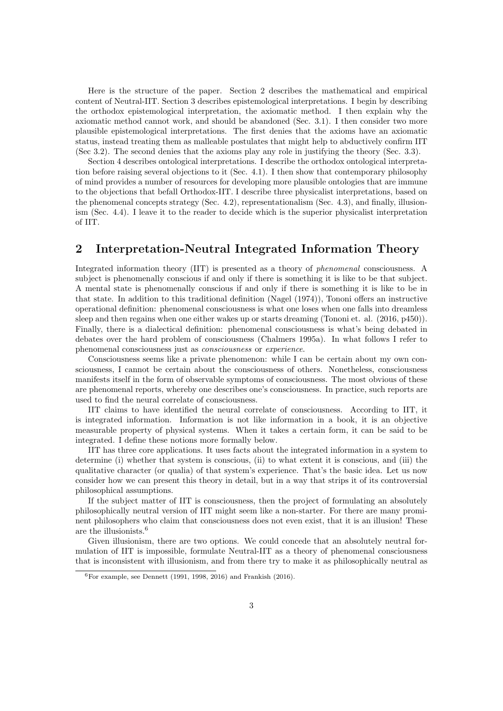Here is the structure of the paper. Section 2 describes the mathematical and empirical content of Neutral-IIT. Section 3 describes epistemological interpretations. I begin by describing the orthodox epistemological interpretation, the axiomatic method. I then explain why the axiomatic method cannot work, and should be abandoned (Sec. 3.1). I then consider two more plausible epistemological interpretations. The first denies that the axioms have an axiomatic status, instead treating them as malleable postulates that might help to abductively confirm IIT (Sec 3.2). The second denies that the axioms play any role in justifying the theory (Sec. 3.3).

Section 4 describes ontological interpretations. I describe the orthodox ontological interpretation before raising several objections to it (Sec. 4.1). I then show that contemporary philosophy of mind provides a number of resources for developing more plausible ontologies that are immune to the objections that befall Orthodox-IIT. I describe three physicalist interpretations, based on the phenomenal concepts strategy (Sec. 4.2), representationalism (Sec. 4.3), and finally, illusionism (Sec. 4.4). I leave it to the reader to decide which is the superior physicalist interpretation of IIT.

# 2 Interpretation-Neutral Integrated Information Theory

Integrated information theory (IIT) is presented as a theory of phenomenal consciousness. A subject is phenomenally conscious if and only if there is something it is like to be that subject. A mental state is phenomenally conscious if and only if there is something it is like to be in that state. In addition to this traditional definition (Nagel (1974)), Tononi offers an instructive operational definition: phenomenal consciousness is what one loses when one falls into dreamless sleep and then regains when one either wakes up or starts dreaming (Tononi et. al. (2016, p450)). Finally, there is a dialectical definition: phenomenal consciousness is what's being debated in debates over the hard problem of consciousness (Chalmers 1995a). In what follows I refer to phenomenal consciousness just as consciousness or experience.

Consciousness seems like a private phenomenon: while I can be certain about my own consciousness, I cannot be certain about the consciousness of others. Nonetheless, consciousness manifests itself in the form of observable symptoms of consciousness. The most obvious of these are phenomenal reports, whereby one describes one's consciousness. In practice, such reports are used to find the neural correlate of consciousness.

IIT claims to have identified the neural correlate of consciousness. According to IIT, it is integrated information. Information is not like information in a book, it is an objective measurable property of physical systems. When it takes a certain form, it can be said to be integrated. I define these notions more formally below.

IIT has three core applications. It uses facts about the integrated information in a system to determine (i) whether that system is conscious, (ii) to what extent it is conscious, and (iii) the qualitative character (or qualia) of that system's experience. That's the basic idea. Let us now consider how we can present this theory in detail, but in a way that strips it of its controversial philosophical assumptions.

If the subject matter of IIT is consciousness, then the project of formulating an absolutely philosophically neutral version of IIT might seem like a non-starter. For there are many prominent philosophers who claim that consciousness does not even exist, that it is an illusion! These are the illusionists.<sup>6</sup>

Given illusionism, there are two options. We could concede that an absolutely neutral formulation of IIT is impossible, formulate Neutral-IIT as a theory of phenomenal consciousness that is inconsistent with illusionism, and from there try to make it as philosophically neutral as

 $6$ For example, see Dennett (1991, 1998, 2016) and Frankish (2016).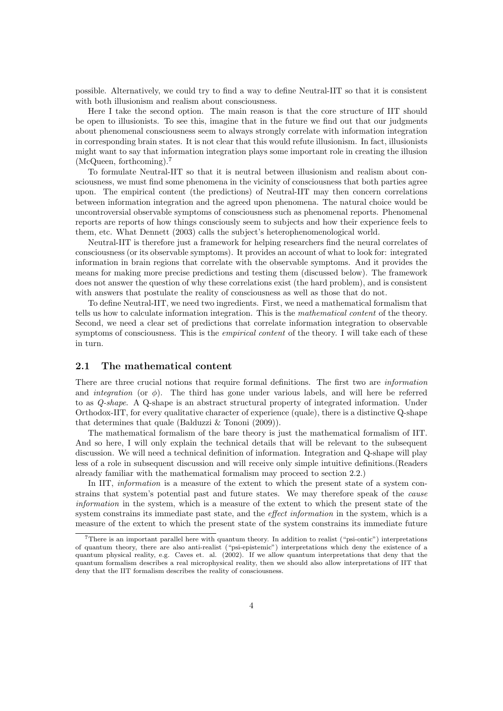possible. Alternatively, we could try to find a way to define Neutral-IIT so that it is consistent with both illusionism and realism about consciousness.

Here I take the second option. The main reason is that the core structure of IIT should be open to illusionists. To see this, imagine that in the future we find out that our judgments about phenomenal consciousness seem to always strongly correlate with information integration in corresponding brain states. It is not clear that this would refute illusionism. In fact, illusionists might want to say that information integration plays some important role in creating the illusion (McQueen, forthcoming).<sup>7</sup>

To formulate Neutral-IIT so that it is neutral between illusionism and realism about consciousness, we must find some phenomena in the vicinity of consciousness that both parties agree upon. The empirical content (the predictions) of Neutral-IIT may then concern correlations between information integration and the agreed upon phenomena. The natural choice would be uncontroversial observable symptoms of consciousness such as phenomenal reports. Phenomenal reports are reports of how things consciously seem to subjects and how their experience feels to them, etc. What Dennett (2003) calls the subject's heterophenomenological world.

Neutral-IIT is therefore just a framework for helping researchers find the neural correlates of consciousness (or its observable symptoms). It provides an account of what to look for: integrated information in brain regions that correlate with the observable symptoms. And it provides the means for making more precise predictions and testing them (discussed below). The framework does not answer the question of why these correlations exist (the hard problem), and is consistent with answers that postulate the reality of consciousness as well as those that do not.

To define Neutral-IIT, we need two ingredients. First, we need a mathematical formalism that tells us how to calculate information integration. This is the mathematical content of the theory. Second, we need a clear set of predictions that correlate information integration to observable symptoms of consciousness. This is the *empirical content* of the theory. I will take each of these in turn.

#### 2.1 The mathematical content

There are three crucial notions that require formal definitions. The first two are *information* and *integration* (or  $\phi$ ). The third has gone under various labels, and will here be referred to as Q-shape. A Q-shape is an abstract structural property of integrated information. Under Orthodox-IIT, for every qualitative character of experience (quale), there is a distinctive Q-shape that determines that quale (Balduzzi & Tononi (2009)).

The mathematical formalism of the bare theory is just the mathematical formalism of IIT. And so here, I will only explain the technical details that will be relevant to the subsequent discussion. We will need a technical definition of information. Integration and Q-shape will play less of a role in subsequent discussion and will receive only simple intuitive definitions.(Readers already familiar with the mathematical formalism may proceed to section 2.2.)

In IIT, *information* is a measure of the extent to which the present state of a system constrains that system's potential past and future states. We may therefore speak of the cause information in the system, which is a measure of the extent to which the present state of the system constrains its immediate past state, and the *effect information* in the system, which is a measure of the extent to which the present state of the system constrains its immediate future

<sup>7</sup>There is an important parallel here with quantum theory. In addition to realist ("psi-ontic") interpretations of quantum theory, there are also anti-realist ("psi-epistemic") interpretations which deny the existence of a quantum physical reality, e.g. Caves et. al. (2002). If we allow quantum interpretations that deny that the quantum formalism describes a real microphysical reality, then we should also allow interpretations of IIT that deny that the IIT formalism describes the reality of consciousness.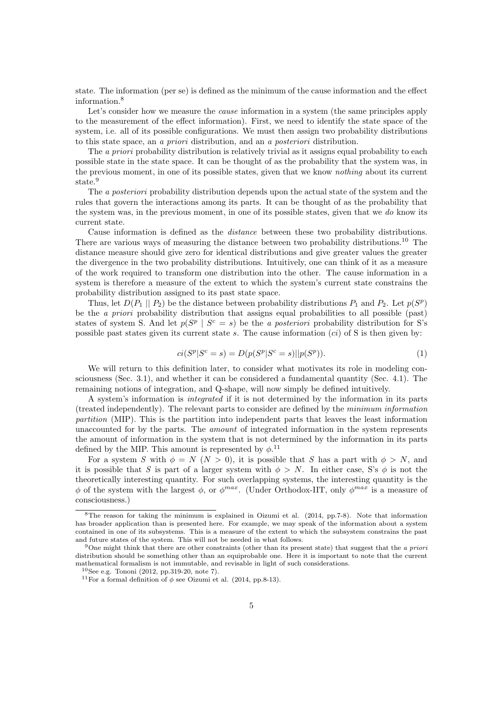state. The information (per se) is defined as the minimum of the cause information and the effect information.<sup>8</sup>

Let's consider how we measure the *cause* information in a system (the same principles apply to the measurement of the effect information). First, we need to identify the state space of the system, i.e. all of its possible configurations. We must then assign two probability distributions to this state space, an a priori distribution, and an a posteriori distribution.

The *a priori* probability distribution is relatively trivial as it assigns equal probability to each possible state in the state space. It can be thought of as the probability that the system was, in the previous moment, in one of its possible states, given that we know nothing about its current state.<sup>9</sup>

The *a posteriori* probability distribution depends upon the actual state of the system and the rules that govern the interactions among its parts. It can be thought of as the probability that the system was, in the previous moment, in one of its possible states, given that we do know its current state.

Cause information is defined as the distance between these two probability distributions. There are various ways of measuring the distance between two probability distributions.<sup>10</sup> The distance measure should give zero for identical distributions and give greater values the greater the divergence in the two probability distributions. Intuitively, one can think of it as a measure of the work required to transform one distribution into the other. The cause information in a system is therefore a measure of the extent to which the system's current state constrains the probability distribution assigned to its past state space.

Thus, let  $D(P_1 \parallel P_2)$  be the distance between probability distributions  $P_1$  and  $P_2$ . Let  $p(S^p)$ be the a priori probability distribution that assigns equal probabilities to all possible (past) states of system S. And let  $p(S^p | S^c = s)$  be the *a posteriori* probability distribution for S's possible past states given its current state s. The cause information  $ci$  of S is then given by:

$$
ci(S^{p}|S^{c}=s) = D(p(S^{p}|S^{c}=s)||p(S^{p})).
$$
\n(1)

We will return to this definition later, to consider what motivates its role in modeling consciousness (Sec. 3.1), and whether it can be considered a fundamental quantity (Sec. 4.1). The remaining notions of integration, and Q-shape, will now simply be defined intuitively.

A system's information is integrated if it is not determined by the information in its parts (treated independently). The relevant parts to consider are defined by the minimum information partition (MIP). This is the partition into independent parts that leaves the least information unaccounted for by the parts. The amount of integrated information in the system represents the amount of information in the system that is not determined by the information in its parts defined by the MIP. This amount is represented by  $\phi$ .<sup>11</sup>

For a system S with  $\phi = N(N > 0)$ , it is possible that S has a part with  $\phi > N$ , and it is possible that S is part of a larger system with  $\phi > N$ . In either case, S's  $\phi$  is not the theoretically interesting quantity. For such overlapping systems, the interesting quantity is the  $\phi$  of the system with the largest  $\phi$ , or  $\phi^{max}$ . (Under Orthodox-IIT, only  $\phi^{max}$  is a measure of consciousness.)

<sup>8</sup>The reason for taking the minimum is explained in Oizumi et al. (2014, pp.7-8). Note that information has broader application than is presented here. For example, we may speak of the information about a system contained in one of its subsystems. This is a measure of the extent to which the subsystem constrains the past and future states of the system. This will not be needed in what follows.

<sup>&</sup>lt;sup>9</sup>One might think that there are other constraints (other than its present state) that suggest that the a priori distribution should be something other than an equiprobable one. Here it is important to note that the current mathematical formalism is not immutable, and revisable in light of such considerations.

<sup>10</sup>See e.g. Tononi (2012, pp.319-20, note 7).

<sup>&</sup>lt;sup>11</sup>For a formal definition of  $\phi$  see Oizumi et al. (2014, pp.8-13).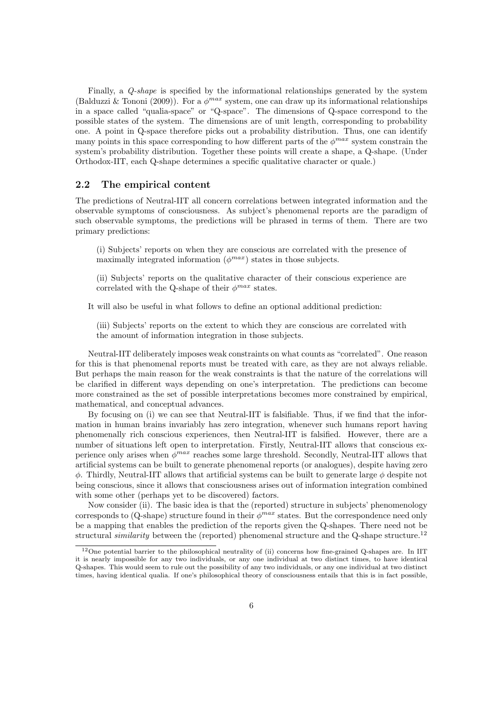Finally, a Q-shape is specified by the informational relationships generated by the system (Balduzzi & Tononi (2009)). For a  $\phi^{max}$  system, one can draw up its informational relationships in a space called "qualia-space" or "Q-space". The dimensions of Q-space correspond to the possible states of the system. The dimensions are of unit length, corresponding to probability one. A point in Q-space therefore picks out a probability distribution. Thus, one can identify many points in this space corresponding to how different parts of the  $\phi^{max}$  system constrain the system's probability distribution. Together these points will create a shape, a Q-shape. (Under Orthodox-IIT, each Q-shape determines a specific qualitative character or quale.)

#### 2.2 The empirical content

The predictions of Neutral-IIT all concern correlations between integrated information and the observable symptoms of consciousness. As subject's phenomenal reports are the paradigm of such observable symptoms, the predictions will be phrased in terms of them. There are two primary predictions:

(i) Subjects' reports on when they are conscious are correlated with the presence of maximally integrated information  $(\phi^{max})$  states in those subjects.

(ii) Subjects' reports on the qualitative character of their conscious experience are correlated with the Q-shape of their  $\phi^{max}$  states.

It will also be useful in what follows to define an optional additional prediction:

(iii) Subjects' reports on the extent to which they are conscious are correlated with the amount of information integration in those subjects.

Neutral-IIT deliberately imposes weak constraints on what counts as "correlated". One reason for this is that phenomenal reports must be treated with care, as they are not always reliable. But perhaps the main reason for the weak constraints is that the nature of the correlations will be clarified in different ways depending on one's interpretation. The predictions can become more constrained as the set of possible interpretations becomes more constrained by empirical, mathematical, and conceptual advances.

By focusing on (i) we can see that Neutral-IIT is falsifiable. Thus, if we find that the information in human brains invariably has zero integration, whenever such humans report having phenomenally rich conscious experiences, then Neutral-IIT is falsified. However, there are a number of situations left open to interpretation. Firstly, Neutral-IIT allows that conscious experience only arises when  $\phi^{max}$  reaches some large threshold. Secondly, Neutral-IIT allows that artificial systems can be built to generate phenomenal reports (or analogues), despite having zero  $\phi$ . Thirdly, Neutral-IIT allows that artificial systems can be built to generate large  $\phi$  despite not being conscious, since it allows that consciousness arises out of information integration combined with some other (perhaps yet to be discovered) factors.

Now consider (ii). The basic idea is that the (reported) structure in subjects' phenomenology corresponds to (Q-shape) structure found in their  $\phi^{max}$  states. But the correspondence need only be a mapping that enables the prediction of the reports given the Q-shapes. There need not be structural *similarity* between the (reported) phenomenal structure and the Q-shape structure.<sup>12</sup>

 $12$ One potential barrier to the philosophical neutrality of (ii) concerns how fine-grained Q-shapes are. In IIT it is nearly impossible for any two individuals, or any one individual at two distinct times, to have identical Q-shapes. This would seem to rule out the possibility of any two individuals, or any one individual at two distinct times, having identical qualia. If one's philosophical theory of consciousness entails that this is in fact possible,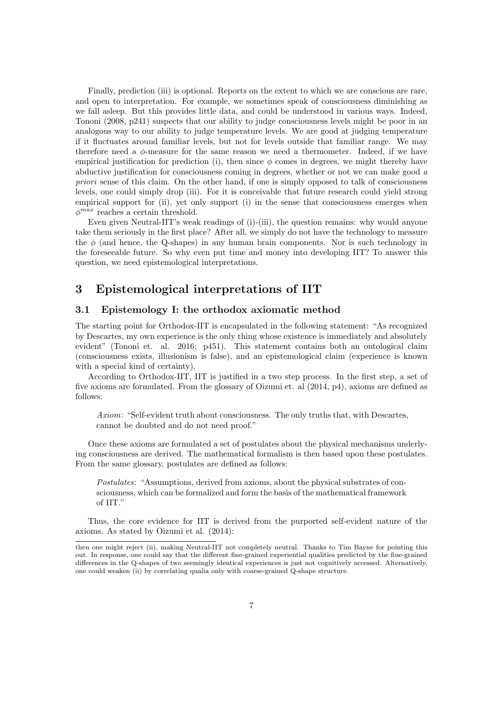Finally, prediction (iii) is optional. Reports on the extent to which we are conscious are rare, and open to interpretation. For example, we sometimes speak of consciousness diminishing as we fall asleep. But this provides little data, and could be understood in various ways. Indeed, Tononi (2008, p241) suspects that our ability to judge consciousness levels might be poor in an analogous way to our ability to judge temperature levels. We are good at judging temperature if it fluctuates around familiar levels, but not for levels outside that familiar range. We may therefore need a  $\phi$ -measure for the same reason we need a thermometer. Indeed, if we have empirical justification for prediction (i), then since  $\phi$  comes in degrees, we might thereby have abductive justification for consciousness coming in degrees, whether or not we can make good a priori sense of this claim. On the other hand, if one is simply opposed to talk of consciousness levels, one could simply drop (iii). For it is conceivable that future research could yield strong empirical support for (ii), yet only support (i) in the sense that consciousness emerges when  $\phi^{max}$  reaches a certain threshold.

Even given Neutral-IIT's weak readings of (i)-(iii), the question remains: why would anyone take them seriously in the first place? After all, we simply do not have the technology to measure the  $\phi$  (and hence, the Q-shapes) in any human brain components. Nor is such technology in the foreseeable future. So why even put time and money into developing IIT? To answer this question, we need epistemological interpretations.

# 3 Epistemological interpretations of IIT

#### 3.1 Epistemology I: the orthodox axiomatic method

The starting point for Orthodox-IIT is encapsulated in the following statement: "As recognized by Descartes, my own experience is the only thing whose existence is immediately and absolutely evident" (Tononi et. al. 2016: p451). This statement contains both an ontological claim (consciousness exists, illusionism is false), and an epistemological claim (experience is known with a special kind of certainty).

According to Orthodox-IIT, IIT is justified in a two step process. In the first step, a set of five axioms are formulated. From the glossary of Oizumi et. al (2014, p4), axioms are defined as follows:

Axiom: "Self-evident truth about consciousness. The only truths that, with Descartes, cannot be doubted and do not need proof."

Once these axioms are formulated a set of postulates about the physical mechanisms underlying consciousness are derived. The mathematical formalism is then based upon these postulates. From the same glossary, postulates are defined as follows:

Postulates: "Assumptions, derived from axioms, about the physical substrates of consciousness, which can be formalized and form the basis of the mathematical framework of IIT."

Thus, the core evidence for IIT is derived from the purported self-evident nature of the axioms. As stated by Oizumi et al. (2014):

then one might reject (ii), making Neutral-IIT not completely neutral. Thanks to Tim Bayne for pointing this out. In response, one could say that the different fine-grained experiential qualities predicted by the fine-grained differences in the Q-shapes of two seemingly identical experiences is just not cognitively accessed. Alternatively, one could weaken (ii) by correlating qualia only with coarse-grained Q-shape structure.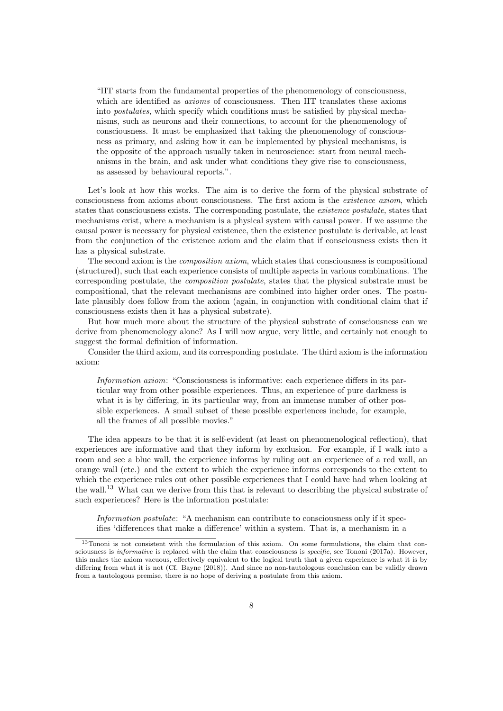"IIT starts from the fundamental properties of the phenomenology of consciousness, which are identified as *axioms* of consciousness. Then IIT translates these axioms into postulates, which specify which conditions must be satisfied by physical mechanisms, such as neurons and their connections, to account for the phenomenology of consciousness. It must be emphasized that taking the phenomenology of consciousness as primary, and asking how it can be implemented by physical mechanisms, is the opposite of the approach usually taken in neuroscience: start from neural mechanisms in the brain, and ask under what conditions they give rise to consciousness, as assessed by behavioural reports.".

Let's look at how this works. The aim is to derive the form of the physical substrate of consciousness from axioms about consciousness. The first axiom is the existence axiom, which states that consciousness exists. The corresponding postulate, the *existence postulate*, states that mechanisms exist, where a mechanism is a physical system with causal power. If we assume the causal power is necessary for physical existence, then the existence postulate is derivable, at least from the conjunction of the existence axiom and the claim that if consciousness exists then it has a physical substrate.

The second axiom is the composition axiom, which states that consciousness is compositional (structured), such that each experience consists of multiple aspects in various combinations. The corresponding postulate, the composition postulate, states that the physical substrate must be compositional, that the relevant mechanisms are combined into higher order ones. The postulate plausibly does follow from the axiom (again, in conjunction with conditional claim that if consciousness exists then it has a physical substrate).

But how much more about the structure of the physical substrate of consciousness can we derive from phenomenology alone? As I will now argue, very little, and certainly not enough to suggest the formal definition of information.

Consider the third axiom, and its corresponding postulate. The third axiom is the information axiom:

Information axiom: "Consciousness is informative: each experience differs in its particular way from other possible experiences. Thus, an experience of pure darkness is what it is by differing, in its particular way, from an immense number of other possible experiences. A small subset of these possible experiences include, for example, all the frames of all possible movies."

The idea appears to be that it is self-evident (at least on phenomenological reflection), that experiences are informative and that they inform by exclusion. For example, if I walk into a room and see a blue wall, the experience informs by ruling out an experience of a red wall, an orange wall (etc.) and the extent to which the experience informs corresponds to the extent to which the experience rules out other possible experiences that I could have had when looking at the wall.<sup>13</sup> What can we derive from this that is relevant to describing the physical substrate of such experiences? Here is the information postulate:

Information postulate: "A mechanism can contribute to consciousness only if it specifies 'differences that make a difference' within a system. That is, a mechanism in a

<sup>13</sup>Tononi is not consistent with the formulation of this axiom. On some formulations, the claim that consciousness is *informative* is replaced with the claim that consciousness is *specific*, see Tononi (2017a). However, this makes the axiom vacuous, effectively equivalent to the logical truth that a given experience is what it is by differing from what it is not (Cf. Bayne (2018)). And since no non-tautologous conclusion can be validly drawn from a tautologous premise, there is no hope of deriving a postulate from this axiom.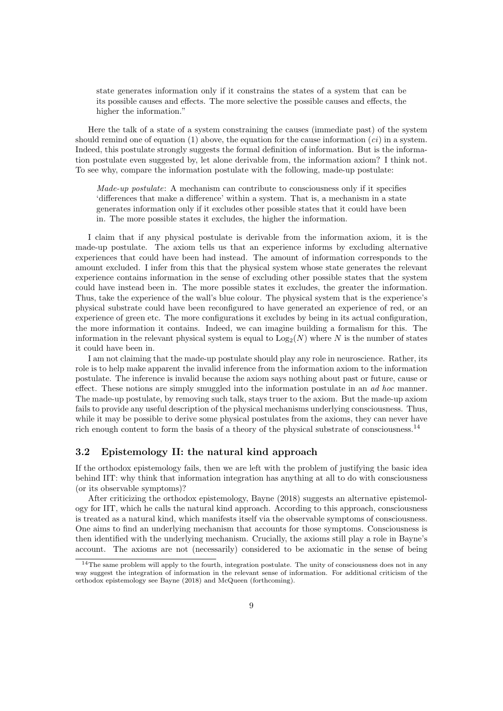state generates information only if it constrains the states of a system that can be its possible causes and effects. The more selective the possible causes and effects, the higher the information."

Here the talk of a state of a system constraining the causes (immediate past) of the system should remind one of equation (1) above, the equation for the cause information  $(ci)$  in a system. Indeed, this postulate strongly suggests the formal definition of information. But is the information postulate even suggested by, let alone derivable from, the information axiom? I think not. To see why, compare the information postulate with the following, made-up postulate:

Made-up postulate: A mechanism can contribute to consciousness only if it specifies 'differences that make a difference' within a system. That is, a mechanism in a state generates information only if it excludes other possible states that it could have been in. The more possible states it excludes, the higher the information.

I claim that if any physical postulate is derivable from the information axiom, it is the made-up postulate. The axiom tells us that an experience informs by excluding alternative experiences that could have been had instead. The amount of information corresponds to the amount excluded. I infer from this that the physical system whose state generates the relevant experience contains information in the sense of excluding other possible states that the system could have instead been in. The more possible states it excludes, the greater the information. Thus, take the experience of the wall's blue colour. The physical system that is the experience's physical substrate could have been reconfigured to have generated an experience of red, or an experience of green etc. The more configurations it excludes by being in its actual configuration, the more information it contains. Indeed, we can imagine building a formalism for this. The information in the relevant physical system is equal to  $\text{Log}_2(N)$  where N is the number of states it could have been in.

I am not claiming that the made-up postulate should play any role in neuroscience. Rather, its role is to help make apparent the invalid inference from the information axiom to the information postulate. The inference is invalid because the axiom says nothing about past or future, cause or effect. These notions are simply smuggled into the information postulate in an *ad hoc* manner. The made-up postulate, by removing such talk, stays truer to the axiom. But the made-up axiom fails to provide any useful description of the physical mechanisms underlying consciousness. Thus, while it may be possible to derive some physical postulates from the axioms, they can never have rich enough content to form the basis of a theory of the physical substrate of consciousness.<sup>14</sup>

### 3.2 Epistemology II: the natural kind approach

If the orthodox epistemology fails, then we are left with the problem of justifying the basic idea behind IIT: why think that information integration has anything at all to do with consciousness (or its observable symptoms)?

After criticizing the orthodox epistemology, Bayne (2018) suggests an alternative epistemology for IIT, which he calls the natural kind approach. According to this approach, consciousness is treated as a natural kind, which manifests itself via the observable symptoms of consciousness. One aims to find an underlying mechanism that accounts for those symptoms. Consciousness is then identified with the underlying mechanism. Crucially, the axioms still play a role in Bayne's account. The axioms are not (necessarily) considered to be axiomatic in the sense of being

<sup>&</sup>lt;sup>14</sup>The same problem will apply to the fourth, integration postulate. The unity of consciousness does not in any way suggest the integration of information in the relevant sense of information. For additional criticism of the orthodox epistemology see Bayne (2018) and McQueen (forthcoming).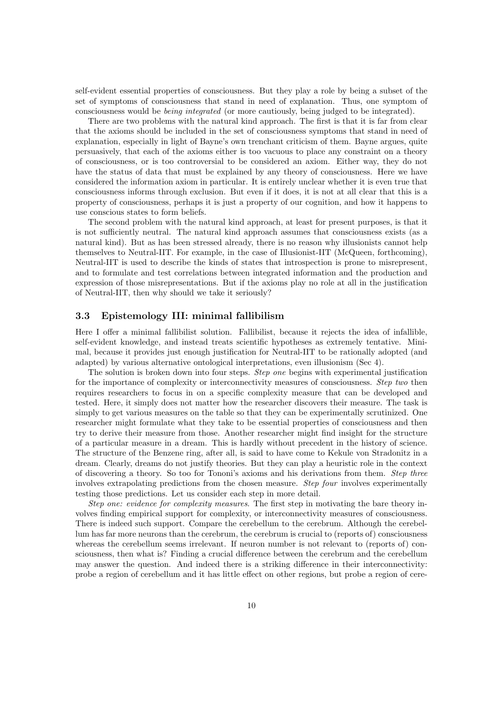self-evident essential properties of consciousness. But they play a role by being a subset of the set of symptoms of consciousness that stand in need of explanation. Thus, one symptom of consciousness would be being integrated (or more cautiously, being judged to be integrated).

There are two problems with the natural kind approach. The first is that it is far from clear that the axioms should be included in the set of consciousness symptoms that stand in need of explanation, especially in light of Bayne's own trenchant criticism of them. Bayne argues, quite persuasively, that each of the axioms either is too vacuous to place any constraint on a theory of consciousness, or is too controversial to be considered an axiom. Either way, they do not have the status of data that must be explained by any theory of consciousness. Here we have considered the information axiom in particular. It is entirely unclear whether it is even true that consciousness informs through exclusion. But even if it does, it is not at all clear that this is a property of consciousness, perhaps it is just a property of our cognition, and how it happens to use conscious states to form beliefs.

The second problem with the natural kind approach, at least for present purposes, is that it is not sufficiently neutral. The natural kind approach assumes that consciousness exists (as a natural kind). But as has been stressed already, there is no reason why illusionists cannot help themselves to Neutral-IIT. For example, in the case of Illusionist-IIT (McQueen, forthcoming), Neutral-IIT is used to describe the kinds of states that introspection is prone to misrepresent, and to formulate and test correlations between integrated information and the production and expression of those misrepresentations. But if the axioms play no role at all in the justification of Neutral-IIT, then why should we take it seriously?

### 3.3 Epistemology III: minimal fallibilism

Here I offer a minimal fallibilist solution. Fallibilist, because it rejects the idea of infallible, self-evident knowledge, and instead treats scientific hypotheses as extremely tentative. Minimal, because it provides just enough justification for Neutral-IIT to be rationally adopted (and adapted) by various alternative ontological interpretations, even illusionism (Sec 4).

The solution is broken down into four steps. Step one begins with experimental justification for the importance of complexity or interconnectivity measures of consciousness. Step two then requires researchers to focus in on a specific complexity measure that can be developed and tested. Here, it simply does not matter how the researcher discovers their measure. The task is simply to get various measures on the table so that they can be experimentally scrutinized. One researcher might formulate what they take to be essential properties of consciousness and then try to derive their measure from those. Another researcher might find insight for the structure of a particular measure in a dream. This is hardly without precedent in the history of science. The structure of the Benzene ring, after all, is said to have come to Kekule von Stradonitz in a dream. Clearly, dreams do not justify theories. But they can play a heuristic role in the context of discovering a theory. So too for Tononi's axioms and his derivations from them. Step three involves extrapolating predictions from the chosen measure. Step four involves experimentally testing those predictions. Let us consider each step in more detail.

Step one: evidence for complexity measures. The first step in motivating the bare theory involves finding empirical support for complexity, or interconnectivity measures of consciousness. There is indeed such support. Compare the cerebellum to the cerebrum. Although the cerebellum has far more neurons than the cerebrum, the cerebrum is crucial to (reports of) consciousness whereas the cerebellum seems irrelevant. If neuron number is not relevant to (reports of) consciousness, then what is? Finding a crucial difference between the cerebrum and the cerebellum may answer the question. And indeed there is a striking difference in their interconnectivity: probe a region of cerebellum and it has little effect on other regions, but probe a region of cere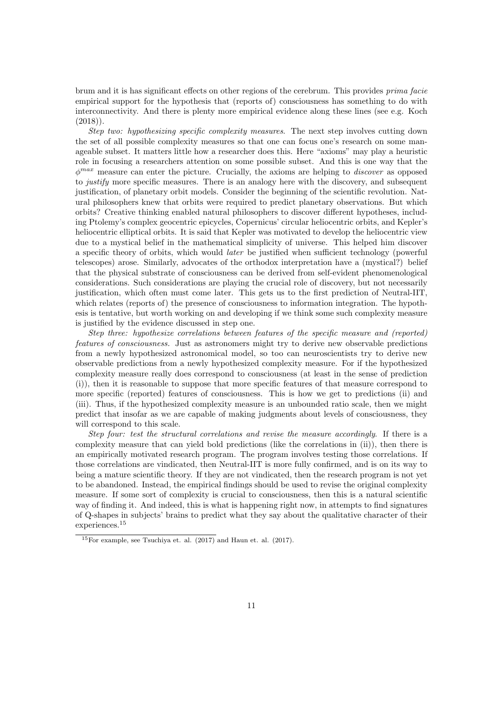brum and it is has significant effects on other regions of the cerebrum. This provides prima facie empirical support for the hypothesis that (reports of) consciousness has something to do with interconnectivity. And there is plenty more empirical evidence along these lines (see e.g. Koch  $(2018)$ .

Step two: hypothesizing specific complexity measures. The next step involves cutting down the set of all possible complexity measures so that one can focus one's research on some manageable subset. It matters little how a researcher does this. Here "axioms" may play a heuristic role in focusing a researchers attention on some possible subset. And this is one way that the  $\phi^{max}$  measure can enter the picture. Crucially, the axioms are helping to *discover* as opposed to *justify* more specific measures. There is an analogy here with the discovery, and subsequent justification, of planetary orbit models. Consider the beginning of the scientific revolution. Natural philosophers knew that orbits were required to predict planetary observations. But which orbits? Creative thinking enabled natural philosophers to discover different hypotheses, including Ptolemy's complex geocentric epicycles, Copernicus' circular heliocentric orbits, and Kepler's heliocentric elliptical orbits. It is said that Kepler was motivated to develop the heliocentric view due to a mystical belief in the mathematical simplicity of universe. This helped him discover a specific theory of orbits, which would later be justified when sufficient technology (powerful telescopes) arose. Similarly, advocates of the orthodox interpretation have a (mystical?) belief that the physical substrate of consciousness can be derived from self-evident phenomenological considerations. Such considerations are playing the crucial role of discovery, but not necessarily justification, which often must come later. This gets us to the first prediction of Neutral-IIT, which relates (reports of) the presence of consciousness to information integration. The hypothesis is tentative, but worth working on and developing if we think some such complexity measure is justified by the evidence discussed in step one.

Step three: hypothesize correlations between features of the specific measure and (reported) features of consciousness. Just as astronomers might try to derive new observable predictions from a newly hypothesized astronomical model, so too can neuroscientists try to derive new observable predictions from a newly hypothesized complexity measure. For if the hypothesized complexity measure really does correspond to consciousness (at least in the sense of prediction (i)), then it is reasonable to suppose that more specific features of that measure correspond to more specific (reported) features of consciousness. This is how we get to predictions (ii) and (iii). Thus, if the hypothesized complexity measure is an unbounded ratio scale, then we might predict that insofar as we are capable of making judgments about levels of consciousness, they will correspond to this scale.

Step four: test the structural correlations and revise the measure accordingly. If there is a complexity measure that can yield bold predictions (like the correlations in (ii)), then there is an empirically motivated research program. The program involves testing those correlations. If those correlations are vindicated, then Neutral-IIT is more fully confirmed, and is on its way to being a mature scientific theory. If they are not vindicated, then the research program is not yet to be abandoned. Instead, the empirical findings should be used to revise the original complexity measure. If some sort of complexity is crucial to consciousness, then this is a natural scientific way of finding it. And indeed, this is what is happening right now, in attempts to find signatures of Q-shapes in subjects' brains to predict what they say about the qualitative character of their experiences.<sup>15</sup>

<sup>15</sup>For example, see Tsuchiya et. al. (2017) and Haun et. al. (2017).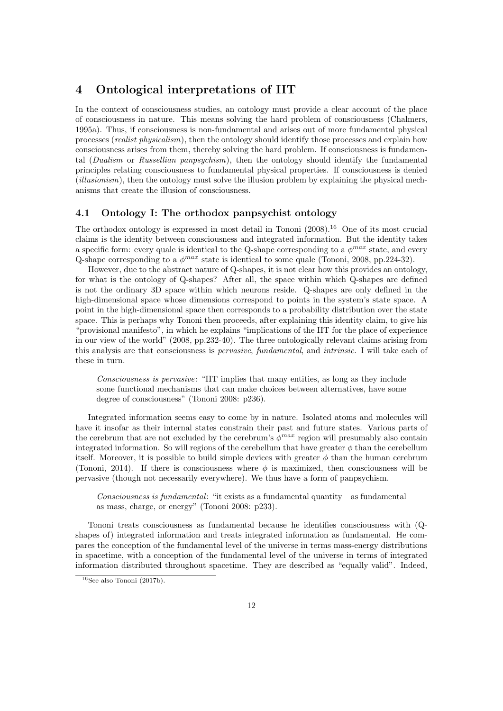# 4 Ontological interpretations of IIT

In the context of consciousness studies, an ontology must provide a clear account of the place of consciousness in nature. This means solving the hard problem of consciousness (Chalmers, 1995a). Thus, if consciousness is non-fundamental and arises out of more fundamental physical processes (realist physicalism), then the ontology should identify those processes and explain how consciousness arises from them, thereby solving the hard problem. If consciousness is fundamental (Dualism or Russellian panpsychism), then the ontology should identify the fundamental principles relating consciousness to fundamental physical properties. If consciousness is denied (*illusionism*), then the ontology must solve the illusion problem by explaining the physical mechanisms that create the illusion of consciousness.

### 4.1 Ontology I: The orthodox panpsychist ontology

The orthodox ontology is expressed in most detail in Tononi  $(2008).^{16}$  One of its most crucial claims is the identity between consciousness and integrated information. But the identity takes a specific form: every quale is identical to the Q-shape corresponding to a  $\phi^{max}$  state, and every Q-shape corresponding to a  $\phi^{max}$  state is identical to some quale (Tononi, 2008, pp.224-32).

However, due to the abstract nature of Q-shapes, it is not clear how this provides an ontology, for what is the ontology of Q-shapes? After all, the space within which Q-shapes are defined is not the ordinary 3D space within which neurons reside. Q-shapes are only defined in the high-dimensional space whose dimensions correspond to points in the system's state space. A point in the high-dimensional space then corresponds to a probability distribution over the state space. This is perhaps why Tononi then proceeds, after explaining this identity claim, to give his "provisional manifesto", in which he explains "implications of the IIT for the place of experience in our view of the world" (2008, pp.232-40). The three ontologically relevant claims arising from this analysis are that consciousness is pervasive, fundamental, and intrinsic. I will take each of these in turn.

Consciousness is pervasive: "IIT implies that many entities, as long as they include some functional mechanisms that can make choices between alternatives, have some degree of consciousness" (Tononi 2008: p236).

Integrated information seems easy to come by in nature. Isolated atoms and molecules will have it insofar as their internal states constrain their past and future states. Various parts of the cerebrum that are not excluded by the cerebrum's  $\phi^{max}$  region will presumably also contain integrated information. So will regions of the cerebellum that have greater  $\phi$  than the cerebellum itself. Moreover, it is possible to build simple devices with greater  $\phi$  than the human cerebrum (Tononi, 2014). If there is consciousness where  $\phi$  is maximized, then consciousness will be pervasive (though not necessarily everywhere). We thus have a form of panpsychism.

Consciousness is fundamental: "it exists as a fundamental quantity—as fundamental as mass, charge, or energy" (Tononi 2008: p233).

Tononi treats consciousness as fundamental because he identifies consciousness with (Qshapes of) integrated information and treats integrated information as fundamental. He compares the conception of the fundamental level of the universe in terms mass-energy distributions in spacetime, with a conception of the fundamental level of the universe in terms of integrated information distributed throughout spacetime. They are described as "equally valid". Indeed,

 $16$ See also Tononi (2017b).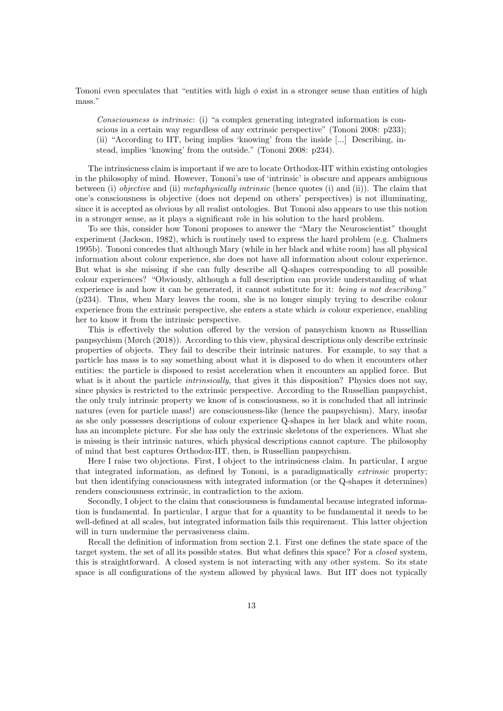Tononi even speculates that "entities with high  $\phi$  exist in a stronger sense than entities of high mass."

Consciousness is intrinsic: (i) "a complex generating integrated information is conscious in a certain way regardless of any extrinsic perspective" (Tononi 2008: p233); (ii) "According to IIT, being implies 'knowing' from the inside [...] Describing, instead, implies 'knowing' from the outside." (Tononi 2008: p234).

The intrinsicness claim is important if we are to locate Orthodox-IIT within existing ontologies in the philosophy of mind. However, Tononi's use of 'intrinsic' is obscure and appears ambiguous between (i) objective and (ii) metaphysically intrinsic (hence quotes (i) and (ii)). The claim that one's consciousness is objective (does not depend on others' perspectives) is not illuminating, since it is accepted as obvious by all realist ontologies. But Tononi also appears to use this notion in a stronger sense, as it plays a significant role in his solution to the hard problem.

To see this, consider how Tononi proposes to answer the "Mary the Neuroscientist" thought experiment (Jackson, 1982), which is routinely used to express the hard problem (e.g. Chalmers 1995b). Tononi concedes that although Mary (while in her black and white room) has all physical information about colour experience, she does not have all information about colour experience. But what is she missing if she can fully describe all Q-shapes corresponding to all possible colour experiences? "Obviously, although a full description can provide understanding of what experience is and how it can be generated, it cannot substitute for it: being is not describing." (p234). Thus, when Mary leaves the room, she is no longer simply trying to describe colour experience from the extrinsic perspective, she enters a state which is colour experience, enabling her to know it from the intrinsic perspective.

This is effectively the solution offered by the version of pansychism known as Russellian panpsychism (Mørch (2018)). According to this view, physical descriptions only describe extrinsic properties of objects. They fail to describe their intrinsic natures. For example, to say that a particle has mass is to say something about what it is disposed to do when it encounters other entities: the particle is disposed to resist acceleration when it encounters an applied force. But what is it about the particle *intrinsically*, that gives it this disposition? Physics does not say, since physics is restricted to the extrinsic perspective. According to the Russellian panpsychist, the only truly intrinsic property we know of is consciousness, so it is concluded that all intrinsic natures (even for particle mass!) are consciousness-like (hence the panpsychism). Mary, insofar as she only possesses descriptions of colour experience Q-shapes in her black and white room, has an incomplete picture. For she has only the extrinsic skeletons of the experiences. What she is missing is their intrinsic natures, which physical descriptions cannot capture. The philosophy of mind that best captures Orthodox-IIT, then, is Russellian panpsychism.

Here I raise two objections. First, I object to the intrinsicness claim. In particular, I argue that integrated information, as defined by Tononi, is a paradigmatically extrinsic property; but then identifying consciousness with integrated information (or the Q-shapes it determines) renders consciousness extrinsic, in contradiction to the axiom.

Secondly, I object to the claim that consciousness is fundamental because integrated information is fundamental. In particular, I argue that for a quantity to be fundamental it needs to be well-defined at all scales, but integrated information fails this requirement. This latter objection will in turn undermine the pervasiveness claim.

Recall the definition of information from section 2.1. First one defines the state space of the target system, the set of all its possible states. But what defines this space? For a closed system, this is straightforward. A closed system is not interacting with any other system. So its state space is all configurations of the system allowed by physical laws. But IIT does not typically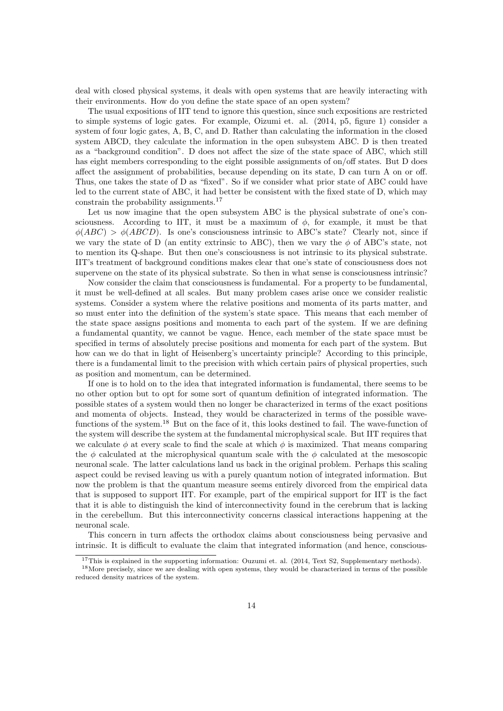deal with closed physical systems, it deals with open systems that are heavily interacting with their environments. How do you define the state space of an open system?

The usual expositions of IIT tend to ignore this question, since such expositions are restricted to simple systems of logic gates. For example, Oizumi et. al. (2014, p5, figure 1) consider a system of four logic gates, A, B, C, and D. Rather than calculating the information in the closed system ABCD, they calculate the information in the open subsystem ABC. D is then treated as a "background condition". D does not affect the size of the state space of ABC, which still has eight members corresponding to the eight possible assignments of on/off states. But D does affect the assignment of probabilities, because depending on its state, D can turn A on or off. Thus, one takes the state of D as "fixed". So if we consider what prior state of ABC could have led to the current state of ABC, it had better be consistent with the fixed state of D, which may constrain the probability assignments.<sup>17</sup>

Let us now imagine that the open subsystem ABC is the physical substrate of one's consciousness. According to IIT, it must be a maximum of  $\phi$ , for example, it must be that  $\phi(ABC) > \phi(ABCD)$ . Is one's consciousness intrinsic to ABC's state? Clearly not, since if we vary the state of D (an entity extrinsic to ABC), then we vary the  $\phi$  of ABC's state, not to mention its Q-shape. But then one's consciousness is not intrinsic to its physical substrate. IIT's treatment of background conditions makes clear that one's state of consciousness does not supervene on the state of its physical substrate. So then in what sense is consciousness intrinsic?

Now consider the claim that consciousness is fundamental. For a property to be fundamental, it must be well-defined at all scales. But many problem cases arise once we consider realistic systems. Consider a system where the relative positions and momenta of its parts matter, and so must enter into the definition of the system's state space. This means that each member of the state space assigns positions and momenta to each part of the system. If we are defining a fundamental quantity, we cannot be vague. Hence, each member of the state space must be specified in terms of absolutely precise positions and momenta for each part of the system. But how can we do that in light of Heisenberg's uncertainty principle? According to this principle, there is a fundamental limit to the precision with which certain pairs of physical properties, such as position and momentum, can be determined.

If one is to hold on to the idea that integrated information is fundamental, there seems to be no other option but to opt for some sort of quantum definition of integrated information. The possible states of a system would then no longer be characterized in terms of the exact positions and momenta of objects. Instead, they would be characterized in terms of the possible wavefunctions of the system.<sup>18</sup> But on the face of it, this looks destined to fail. The wave-function of the system will describe the system at the fundamental microphysical scale. But IIT requires that we calculate  $\phi$  at every scale to find the scale at which  $\phi$  is maximized. That means comparing the  $\phi$  calculated at the microphysical quantum scale with the  $\phi$  calculated at the mesoscopic neuronal scale. The latter calculations land us back in the original problem. Perhaps this scaling aspect could be revised leaving us with a purely quantum notion of integrated information. But now the problem is that the quantum measure seems entirely divorced from the empirical data that is supposed to support IIT. For example, part of the empirical support for IIT is the fact that it is able to distinguish the kind of interconnectivity found in the cerebrum that is lacking in the cerebellum. But this interconnectivity concerns classical interactions happening at the neuronal scale.

This concern in turn affects the orthodox claims about consciousness being pervasive and intrinsic. It is difficult to evaluate the claim that integrated information (and hence, conscious-

<sup>&</sup>lt;sup>17</sup>This is explained in the supporting information: Ouzumi et. al.  $(2014, Text S2, Supplementary methods)$ .

<sup>&</sup>lt;sup>18</sup>More precisely, since we are dealing with open systems, they would be characterized in terms of the possible reduced density matrices of the system.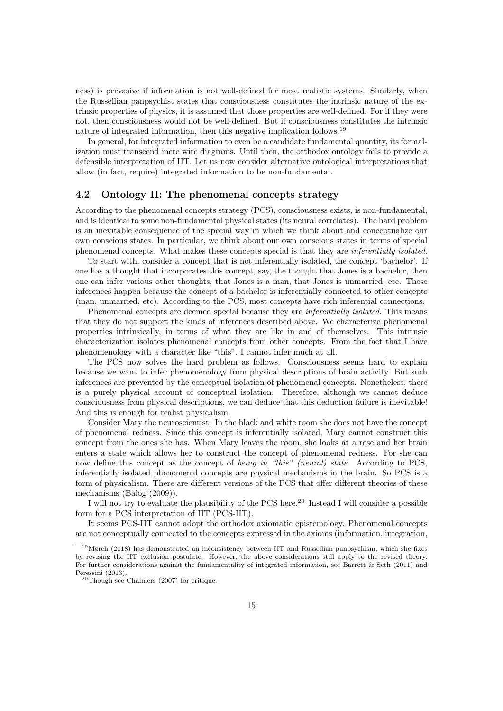ness) is pervasive if information is not well-defined for most realistic systems. Similarly, when the Russellian panpsychist states that consciousness constitutes the intrinsic nature of the extrinsic properties of physics, it is assumed that those properties are well-defined. For if they were not, then consciousness would not be well-defined. But if consciousness constitutes the intrinsic nature of integrated information, then this negative implication follows.<sup>19</sup>

In general, for integrated information to even be a candidate fundamental quantity, its formalization must transcend mere wire diagrams. Until then, the orthodox ontology fails to provide a defensible interpretation of IIT. Let us now consider alternative ontological interpretations that allow (in fact, require) integrated information to be non-fundamental.

### 4.2 Ontology II: The phenomenal concepts strategy

According to the phenomenal concepts strategy (PCS), consciousness exists, is non-fundamental, and is identical to some non-fundamental physical states (its neural correlates). The hard problem is an inevitable consequence of the special way in which we think about and conceptualize our own conscious states. In particular, we think about our own conscious states in terms of special phenomenal concepts. What makes these concepts special is that they are inferentially isolated.

To start with, consider a concept that is not inferentially isolated, the concept 'bachelor'. If one has a thought that incorporates this concept, say, the thought that Jones is a bachelor, then one can infer various other thoughts, that Jones is a man, that Jones is unmarried, etc. These inferences happen because the concept of a bachelor is inferentially connected to other concepts (man, unmarried, etc). According to the PCS, most concepts have rich inferential connections.

Phenomenal concepts are deemed special because they are *inferentially isolated*. This means that they do not support the kinds of inferences described above. We characterize phenomenal properties intrinsically, in terms of what they are like in and of themselves. This intrinsic characterization isolates phenomenal concepts from other concepts. From the fact that I have phenomenology with a character like "this", I cannot infer much at all.

The PCS now solves the hard problem as follows. Consciousness seems hard to explain because we want to infer phenomenology from physical descriptions of brain activity. But such inferences are prevented by the conceptual isolation of phenomenal concepts. Nonetheless, there is a purely physical account of conceptual isolation. Therefore, although we cannot deduce consciousness from physical descriptions, we can deduce that this deduction failure is inevitable! And this is enough for realist physicalism.

Consider Mary the neuroscientist. In the black and white room she does not have the concept of phenomenal redness. Since this concept is inferentially isolated, Mary cannot construct this concept from the ones she has. When Mary leaves the room, she looks at a rose and her brain enters a state which allows her to construct the concept of phenomenal redness. For she can now define this concept as the concept of being in "this" (neural) state. According to PCS, inferentially isolated phenomenal concepts are physical mechanisms in the brain. So PCS is a form of physicalism. There are different versions of the PCS that offer different theories of these mechanisms (Balog (2009)).

I will not try to evaluate the plausibility of the PCS here.<sup>20</sup> Instead I will consider a possible form for a PCS interpretation of IIT (PCS-IIT).

It seems PCS-IIT cannot adopt the orthodox axiomatic epistemology. Phenomenal concepts are not conceptually connected to the concepts expressed in the axioms (information, integration,

<sup>&</sup>lt;sup>19</sup>Mørch (2018) has demonstrated an inconsistency between IIT and Russellian panpsychism, which she fixes by revising the IIT exclusion postulate. However, the above considerations still apply to the revised theory. For further considerations against the fundamentality of integrated information, see Barrett & Seth (2011) and Peressini (2013).

<sup>20</sup>Though see Chalmers (2007) for critique.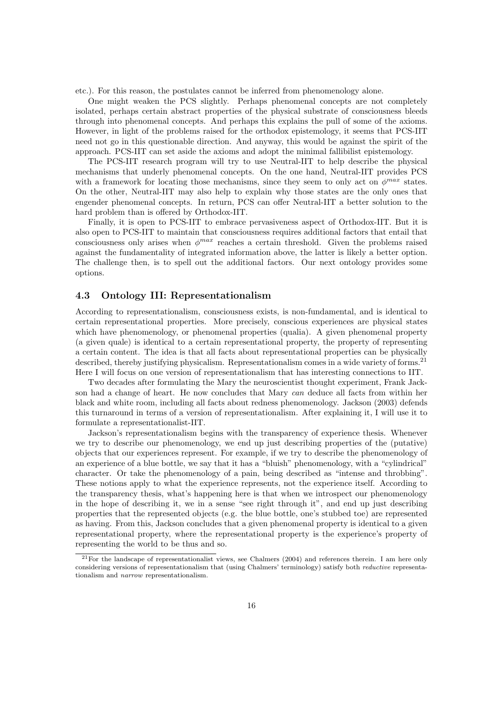etc.). For this reason, the postulates cannot be inferred from phenomenology alone.

One might weaken the PCS slightly. Perhaps phenomenal concepts are not completely isolated, perhaps certain abstract properties of the physical substrate of consciousness bleeds through into phenomenal concepts. And perhaps this explains the pull of some of the axioms. However, in light of the problems raised for the orthodox epistemology, it seems that PCS-IIT need not go in this questionable direction. And anyway, this would be against the spirit of the approach. PCS-IIT can set aside the axioms and adopt the minimal fallibilist epistemology.

The PCS-IIT research program will try to use Neutral-IIT to help describe the physical mechanisms that underly phenomenal concepts. On the one hand, Neutral-IIT provides PCS with a framework for locating those mechanisms, since they seem to only act on  $\phi^{max}$  states. On the other, Neutral-IIT may also help to explain why those states are the only ones that engender phenomenal concepts. In return, PCS can offer Neutral-IIT a better solution to the hard problem than is offered by Orthodox-IIT.

Finally, it is open to PCS-IIT to embrace pervasiveness aspect of Orthodox-IIT. But it is also open to PCS-IIT to maintain that consciousness requires additional factors that entail that consciousness only arises when  $\phi^{max}$  reaches a certain threshold. Given the problems raised against the fundamentality of integrated information above, the latter is likely a better option. The challenge then, is to spell out the additional factors. Our next ontology provides some options.

### 4.3 Ontology III: Representationalism

According to representationalism, consciousness exists, is non-fundamental, and is identical to certain representational properties. More precisely, conscious experiences are physical states which have phenomenology, or phenomenal properties (qualia). A given phenomenal property (a given quale) is identical to a certain representational property, the property of representing a certain content. The idea is that all facts about representational properties can be physically described, thereby justifying physicalism. Representationalism comes in a wide variety of forms.<sup>21</sup> Here I will focus on one version of representationalism that has interesting connections to IIT.

Two decades after formulating the Mary the neuroscientist thought experiment, Frank Jackson had a change of heart. He now concludes that Mary can deduce all facts from within her black and white room, including all facts about redness phenomenology. Jackson (2003) defends this turnaround in terms of a version of representationalism. After explaining it, I will use it to formulate a representationalist-IIT.

Jackson's representationalism begins with the transparency of experience thesis. Whenever we try to describe our phenomenology, we end up just describing properties of the (putative) objects that our experiences represent. For example, if we try to describe the phenomenology of an experience of a blue bottle, we say that it has a "bluish" phenomenology, with a "cylindrical" character. Or take the phenomenology of a pain, being described as "intense and throbbing". These notions apply to what the experience represents, not the experience itself. According to the transparency thesis, what's happening here is that when we introspect our phenomenology in the hope of describing it, we in a sense "see right through it", and end up just describing properties that the represented objects (e.g. the blue bottle, one's stubbed toe) are represented as having. From this, Jackson concludes that a given phenomenal property is identical to a given representational property, where the representational property is the experience's property of representing the world to be thus and so.

 $^{21}$ For the landscape of representationalist views, see Chalmers (2004) and references therein. I am here only considering versions of representationalism that (using Chalmers' terminology) satisfy both reductive representationalism and narrow representationalism.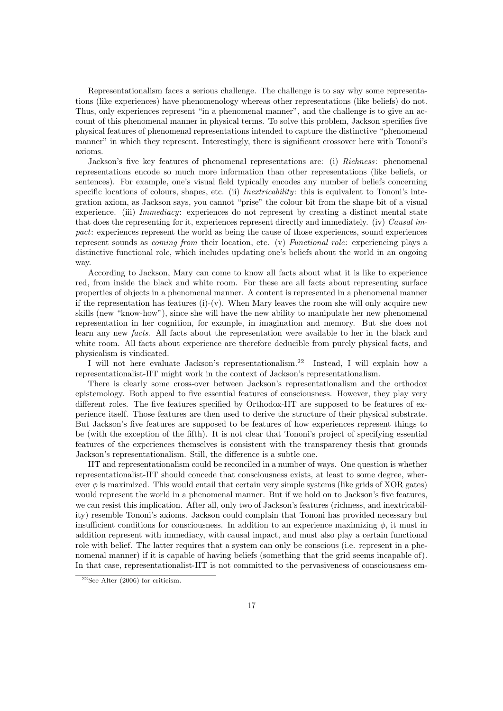Representationalism faces a serious challenge. The challenge is to say why some representations (like experiences) have phenomenology whereas other representations (like beliefs) do not. Thus, only experiences represent "in a phenomenal manner", and the challenge is to give an account of this phenomenal manner in physical terms. To solve this problem, Jackson specifies five physical features of phenomenal representations intended to capture the distinctive "phenomenal manner" in which they represent. Interestingly, there is significant crossover here with Tononi's axioms.

Jackson's five key features of phenomenal representations are: (i) Richness: phenomenal representations encode so much more information than other representations (like beliefs, or sentences). For example, one's visual field typically encodes any number of beliefs concerning specific locations of colours, shapes, etc. (ii) *Inextricability*: this is equivalent to Tononi's integration axiom, as Jackson says, you cannot "prise" the colour bit from the shape bit of a visual experience. (iii) *Immediacy*: experiences do not represent by creating a distinct mental state that does the representing for it, experiences represent directly and immediately. (iv) Causal impact: experiences represent the world as being the cause of those experiences, sound experiences represent sounds as coming from their location, etc. (v) Functional role: experiencing plays a distinctive functional role, which includes updating one's beliefs about the world in an ongoing way.

According to Jackson, Mary can come to know all facts about what it is like to experience red, from inside the black and white room. For these are all facts about representing surface properties of objects in a phenomenal manner. A content is represented in a phenomenal manner if the representation has features (i)-(v). When Mary leaves the room she will only acquire new skills (new "know-how"), since she will have the new ability to manipulate her new phenomenal representation in her cognition, for example, in imagination and memory. But she does not learn any new facts. All facts about the representation were available to her in the black and white room. All facts about experience are therefore deducible from purely physical facts, and physicalism is vindicated.

I will not here evaluate Jackson's representationalism.<sup>22</sup> Instead, I will explain how a representationalist-IIT might work in the context of Jackson's representationalism.

There is clearly some cross-over between Jackson's representationalism and the orthodox epistemology. Both appeal to five essential features of consciousness. However, they play very different roles. The five features specified by Orthodox-IIT are supposed to be features of experience itself. Those features are then used to derive the structure of their physical substrate. But Jackson's five features are supposed to be features of how experiences represent things to be (with the exception of the fifth). It is not clear that Tononi's project of specifying essential features of the experiences themselves is consistent with the transparency thesis that grounds Jackson's representationalism. Still, the difference is a subtle one.

IIT and representationalism could be reconciled in a number of ways. One question is whether representationalist-IIT should concede that consciousness exists, at least to some degree, wherever  $\phi$  is maximized. This would entail that certain very simple systems (like grids of XOR gates) would represent the world in a phenomenal manner. But if we hold on to Jackson's five features, we can resist this implication. After all, only two of Jackson's features (richness, and inextricability) resemble Tononi's axioms. Jackson could complain that Tononi has provided necessary but insufficient conditions for consciousness. In addition to an experience maximizing  $\phi$ , it must in addition represent with immediacy, with causal impact, and must also play a certain functional role with belief. The latter requires that a system can only be conscious (i.e. represent in a phenomenal manner) if it is capable of having beliefs (something that the grid seems incapable of). In that case, representationalist-IIT is not committed to the pervasiveness of consciousness em-

 $22$ See Alter (2006) for criticism.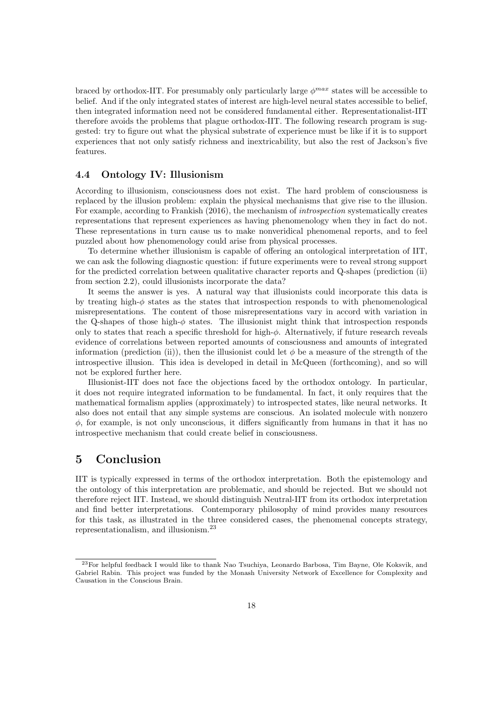braced by orthodox-IIT. For presumably only particularly large  $\phi^{max}$  states will be accessible to belief. And if the only integrated states of interest are high-level neural states accessible to belief, then integrated information need not be considered fundamental either. Representationalist-IIT therefore avoids the problems that plague orthodox-IIT. The following research program is suggested: try to figure out what the physical substrate of experience must be like if it is to support experiences that not only satisfy richness and inextricability, but also the rest of Jackson's five features.

#### 4.4 Ontology IV: Illusionism

According to illusionism, consciousness does not exist. The hard problem of consciousness is replaced by the illusion problem: explain the physical mechanisms that give rise to the illusion. For example, according to Frankish (2016), the mechanism of introspection systematically creates representations that represent experiences as having phenomenology when they in fact do not. These representations in turn cause us to make nonveridical phenomenal reports, and to feel puzzled about how phenomenology could arise from physical processes.

To determine whether illusionism is capable of offering an ontological interpretation of IIT, we can ask the following diagnostic question: if future experiments were to reveal strong support for the predicted correlation between qualitative character reports and Q-shapes (prediction (ii) from section 2.2), could illusionists incorporate the data?

It seems the answer is yes. A natural way that illusionists could incorporate this data is by treating high- $\phi$  states as the states that introspection responds to with phenomenological misrepresentations. The content of those misrepresentations vary in accord with variation in the Q-shapes of those high- $\phi$  states. The illusionist might think that introspection responds only to states that reach a specific threshold for high- $\phi$ . Alternatively, if future research reveals evidence of correlations between reported amounts of consciousness and amounts of integrated information (prediction (ii)), then the illusionist could let  $\phi$  be a measure of the strength of the introspective illusion. This idea is developed in detail in McQueen (forthcoming), and so will not be explored further here.

Illusionist-IIT does not face the objections faced by the orthodox ontology. In particular, it does not require integrated information to be fundamental. In fact, it only requires that the mathematical formalism applies (approximately) to introspected states, like neural networks. It also does not entail that any simple systems are conscious. An isolated molecule with nonzero  $\phi$ , for example, is not only unconscious, it differs significantly from humans in that it has no introspective mechanism that could create belief in consciousness.

# 5 Conclusion

IIT is typically expressed in terms of the orthodox interpretation. Both the epistemology and the ontology of this interpretation are problematic, and should be rejected. But we should not therefore reject IIT. Instead, we should distinguish Neutral-IIT from its orthodox interpretation and find better interpretations. Contemporary philosophy of mind provides many resources for this task, as illustrated in the three considered cases, the phenomenal concepts strategy, representationalism, and illusionism.<sup>23</sup>

<sup>23</sup>For helpful feedback I would like to thank Nao Tsuchiya, Leonardo Barbosa, Tim Bayne, Ole Koksvik, and Gabriel Rabin. This project was funded by the Monash University Network of Excellence for Complexity and Causation in the Conscious Brain.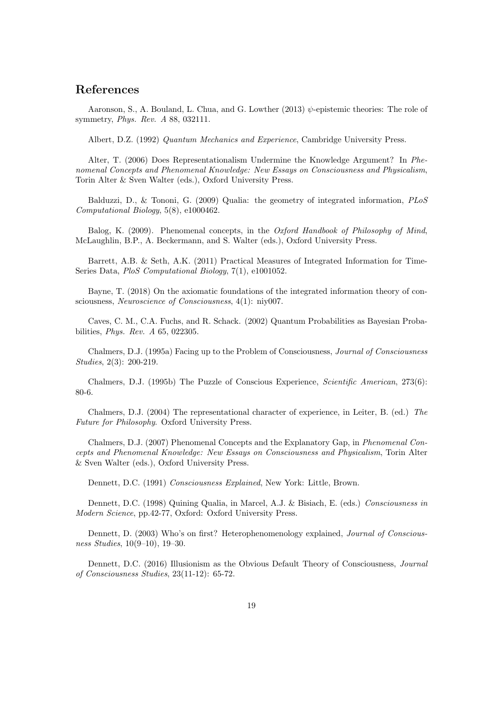# References

Aaronson, S., A. Bouland, L. Chua, and G. Lowther  $(2013)$   $\psi$ -epistemic theories: The role of symmetry, Phys. Rev. A 88, 032111.

Albert, D.Z. (1992) Quantum Mechanics and Experience, Cambridge University Press.

Alter, T. (2006) Does Representationalism Undermine the Knowledge Argument? In Phenomenal Concepts and Phenomenal Knowledge: New Essays on Consciousness and Physicalism, Torin Alter & Sven Walter (eds.), Oxford University Press.

Balduzzi, D., & Tononi, G. (2009) Qualia: the geometry of integrated information, PLoS Computational Biology, 5(8), e1000462.

Balog, K. (2009). Phenomenal concepts, in the Oxford Handbook of Philosophy of Mind, McLaughlin, B.P., A. Beckermann, and S. Walter (eds.), Oxford University Press.

Barrett, A.B. & Seth, A.K. (2011) Practical Measures of Integrated Information for Time-Series Data, PloS Computational Biology, 7(1), e1001052.

Bayne, T. (2018) On the axiomatic foundations of the integrated information theory of consciousness, Neuroscience of Consciousness, 4(1): niy007.

Caves, C. M., C.A. Fuchs, and R. Schack. (2002) Quantum Probabilities as Bayesian Probabilities, Phys. Rev. A 65, 022305.

Chalmers, D.J. (1995a) Facing up to the Problem of Consciousness, Journal of Consciousness Studies, 2(3): 200-219.

Chalmers, D.J. (1995b) The Puzzle of Conscious Experience, Scientific American, 273(6): 80-6.

Chalmers, D.J. (2004) The representational character of experience, in Leiter, B. (ed.) The Future for Philosophy. Oxford University Press.

Chalmers, D.J. (2007) Phenomenal Concepts and the Explanatory Gap, in Phenomenal Concepts and Phenomenal Knowledge: New Essays on Consciousness and Physicalism, Torin Alter & Sven Walter (eds.), Oxford University Press.

Dennett, D.C. (1991) Consciousness Explained, New York: Little, Brown.

Dennett, D.C. (1998) Quining Qualia, in Marcel, A.J. & Bisiach, E. (eds.) Consciousness in Modern Science, pp.42-77, Oxford: Oxford University Press.

Dennett, D. (2003) Who's on first? Heterophenomenology explained, Journal of Consciousness Studies, 10(9–10), 19–30.

Dennett, D.C. (2016) Illusionism as the Obvious Default Theory of Consciousness, Journal of Consciousness Studies, 23(11-12): 65-72.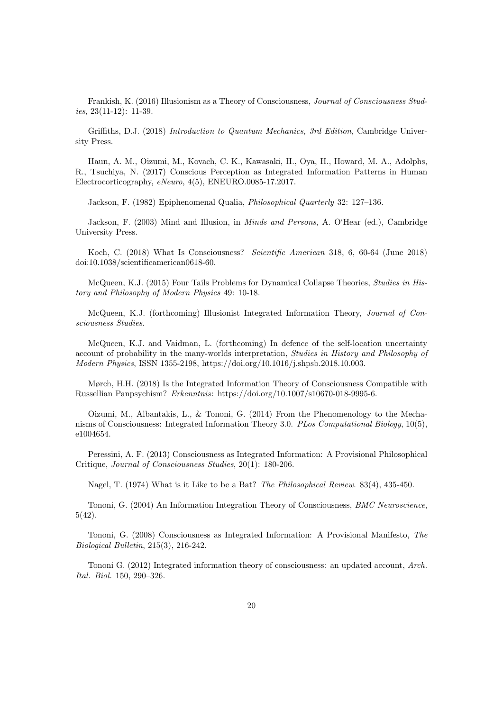Frankish, K. (2016) Illusionism as a Theory of Consciousness, Journal of Consciousness Studies, 23(11-12): 11-39.

Griffiths, D.J. (2018) Introduction to Quantum Mechanics, 3rd Edition, Cambridge University Press.

Haun, A. M., Oizumi, M., Kovach, C. K., Kawasaki, H., Oya, H., Howard, M. A., Adolphs, R., Tsuchiya, N. (2017) Conscious Perception as Integrated Information Patterns in Human Electrocorticography, eNeuro, 4(5), ENEURO.0085-17.2017.

Jackson, F. (1982) Epiphenomenal Qualia, Philosophical Quarterly 32: 127–136.

Jackson, F. (2003) Mind and Illusion, in Minds and Persons, A. O'Hear (ed.), Cambridge University Press.

Koch, C. (2018) What Is Consciousness? Scientific American 318, 6, 60-64 (June 2018) doi:10.1038/scientificamerican0618-60.

McQueen, K.J. (2015) Four Tails Problems for Dynamical Collapse Theories, Studies in History and Philosophy of Modern Physics 49: 10-18.

McQueen, K.J. (forthcoming) Illusionist Integrated Information Theory, Journal of Consciousness Studies.

McQueen, K.J. and Vaidman, L. (forthcoming) In defence of the self-location uncertainty account of probability in the many-worlds interpretation, Studies in History and Philosophy of Modern Physics, ISSN 1355-2198, https://doi.org/10.1016/j.shpsb.2018.10.003.

Mørch, H.H. (2018) Is the Integrated Information Theory of Consciousness Compatible with Russellian Panpsychism? Erkenntnis: https://doi.org/10.1007/s10670-018-9995-6.

Oizumi, M., Albantakis, L., & Tononi, G. (2014) From the Phenomenology to the Mechanisms of Consciousness: Integrated Information Theory 3.0. PLos Computational Biology, 10(5), e1004654.

Peressini, A. F. (2013) Consciousness as Integrated Information: A Provisional Philosophical Critique, Journal of Consciousness Studies, 20(1): 180-206.

Nagel, T. (1974) What is it Like to be a Bat? The Philosophical Review. 83(4), 435-450.

Tononi, G. (2004) An Information Integration Theory of Consciousness, BMC Neuroscience, 5(42).

Tononi, G. (2008) Consciousness as Integrated Information: A Provisional Manifesto, The Biological Bulletin, 215(3), 216-242.

Tononi G. (2012) Integrated information theory of consciousness: an updated account, Arch. Ital. Biol. 150, 290–326.